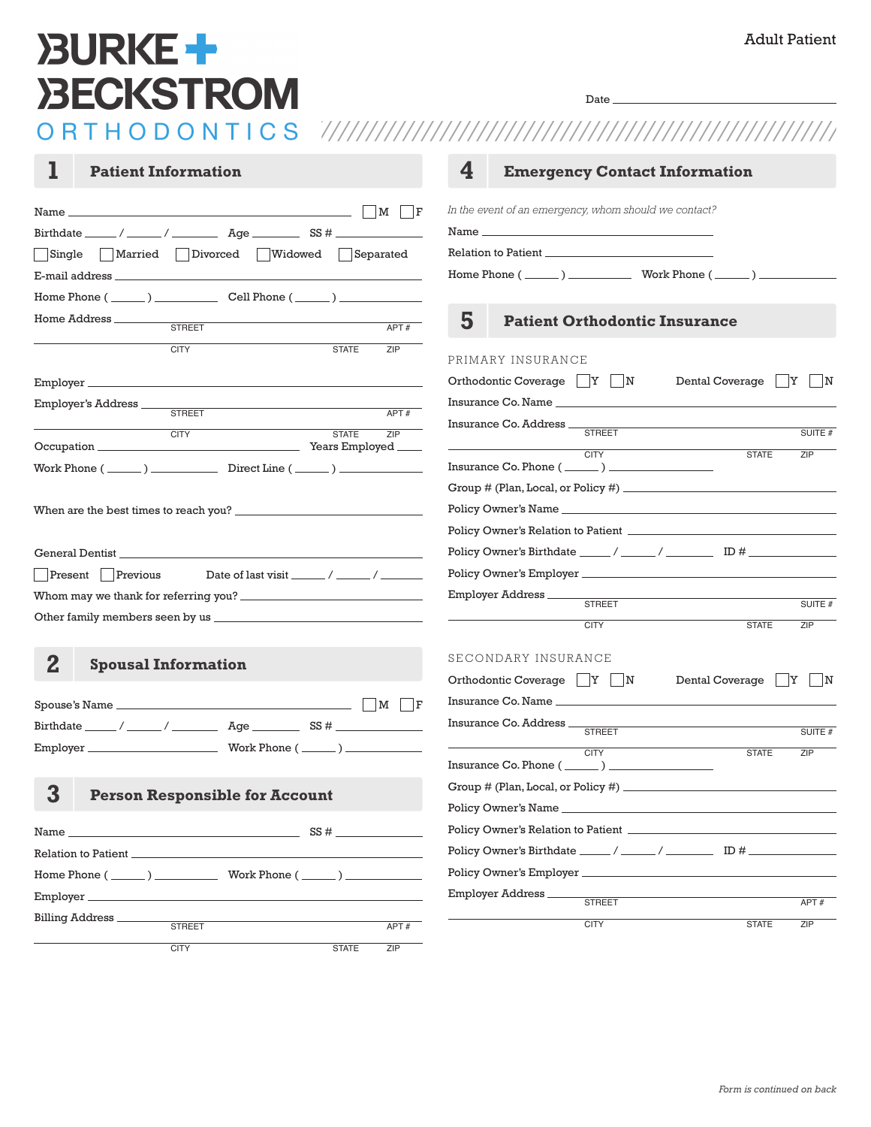## Adult Patient

# **BURKE+ BECKSTROM**

Date

| T<br><b>Patient Information</b>                              | 4<br><b>Emergency Contact Information</b>                                 |
|--------------------------------------------------------------|---------------------------------------------------------------------------|
| M F                                                          | In the event of an emergency, whom should we contact?                     |
|                                                              |                                                                           |
| Single   Married   Divorced<br>  Widowed   Separated         |                                                                           |
|                                                              |                                                                           |
| Home Phone $(\_\_\_\_)$ $\_\_\_\_\_$ Cell Phone $(\_\_\_\_)$ |                                                                           |
| Home Address ________                                        | 5<br><b>Patient Orthodontic Insurance</b>                                 |
| <b>STREET</b><br>APT#                                        |                                                                           |
| <b>CITY</b><br><b>STATE</b><br>ZIP                           | PRIMARY INSURANCE                                                         |
|                                                              | Orthodontic Coverage     Y     N<br>Dental Coverage<br> Y <br>$\mathbf N$ |
| Employer's Address ____                                      | Insurance Co. Name                                                        |
| STREET<br>APT#                                               | Insurance Co. Address _                                                   |
| ZIP<br><b>CITY</b><br><b>STATE</b>                           | <b>STREET</b><br>SUITE #                                                  |
| Work Phone $(\_\_\_\_)$ Direct Line $(\_\_\_\_)$             | <b>CITY</b><br><b>STATE</b><br>ZIP                                        |
|                                                              | Group # (Plan, Local, or Policy #)                                        |
|                                                              |                                                                           |
|                                                              |                                                                           |
|                                                              |                                                                           |
| <b>Present</b> Previous                                      |                                                                           |
|                                                              | Employer Address                                                          |
|                                                              | <b>STREET</b><br>SUITE #                                                  |
|                                                              | <b>CITY</b><br><b>STATE</b><br>ZIP                                        |
| $\bf{2}$<br><b>Spousal Information</b>                       | SECONDARY INSURANCE                                                       |
|                                                              | Orthodontic Coverage   Y   N<br>Dental Coverage<br>$\mathbb{N}$<br>ΙY     |
|                                                              |                                                                           |
|                                                              | Insurance Co. Address _<br><b>STREET</b><br>SUITE #                       |
|                                                              | <b>CITY</b><br><b>STATE</b><br>ZIP                                        |
|                                                              | Insurance Co. Phone $(\_\_\_\_\_$ ) $\_\_$                                |
| 3<br><b>Person Responsible for Account</b>                   |                                                                           |
|                                                              |                                                                           |
|                                                              |                                                                           |
|                                                              |                                                                           |
|                                                              |                                                                           |
|                                                              | Employer Address_                                                         |
| Billing Address                                              | <b>STREET</b><br>APT#                                                     |
| <b>STREET</b><br>APT#                                        | <b>CITY</b><br><b>STATE</b><br>ZIP                                        |